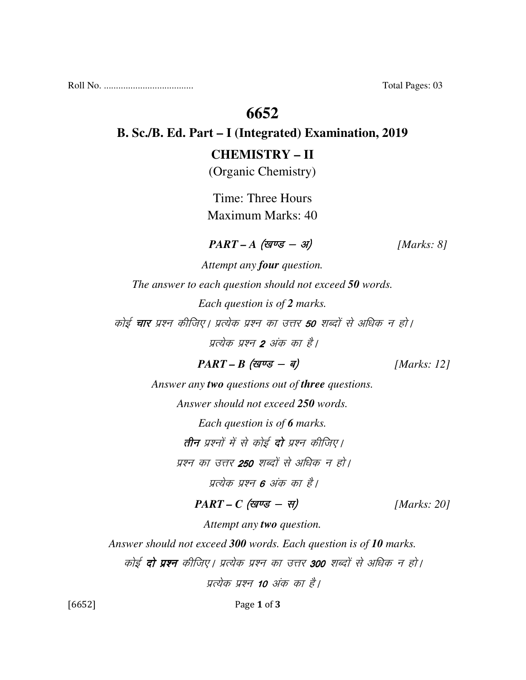Roll No. ..................................... Total Pages: 03

## **6652**

#### **B. Sc./B. Ed. Part – I (Integrated) Examination, 2019**

#### **CHEMISTRY – II**

(Organic Chemistry)

Time: Three Hours Maximum Marks: 40

#### $PART - A$  (<del>guse - 31</del>) [Marks: 8]

*Attempt any four question. The answer to each question should not exceed 50 words. Each question is of 2 marks.*  कोई **चार** प्रश्न कीजिए। प्रत्येक प्रश्न का उत्तर **50** शब्दों से अधिक न हो। पत्येक प्रश्न 2 अंक का है।

 $PART - B$  (*g* $\vec{v} = -\vec{q}$ ) [*Marks: 12*]

*Answer any two questions out of three questions. Answer should not exceed 250 words. Each question is of 6 marks.*  **तीन** प्रश्नों में से कोई **दो** प्रश्न कीजिए।

प्रश्न का उत्तर **250** शब्दों से अधिक न हो।

प्रत्येक प्रश्न **6** अंक का है।

 $PART - C$  (खण्ड - स) [Marks: 20]

*Attempt any two question.* 

*Answer should not exceed 300 words. Each question is of 10 marks.* 

कोई **दो प्रश्न** कीजिए। प्रत्येक प्रश्न का उत्तर 300 शब्दों से अधिक न हो।

प्रत्येक प्रश्न 10 अंक का है।

[6652] Page 1 of 3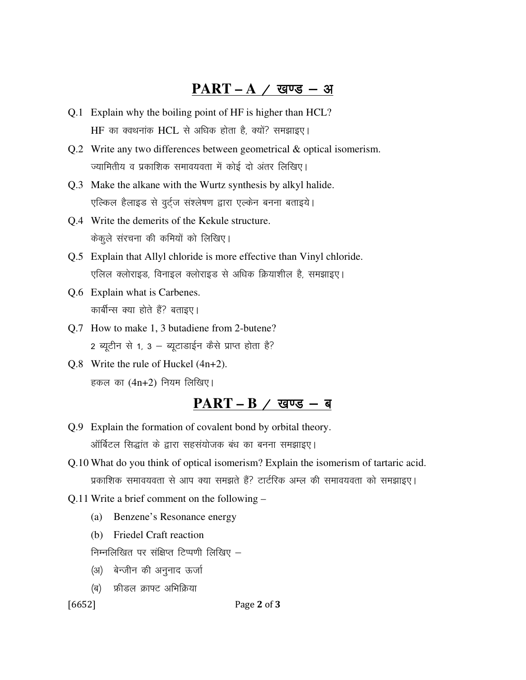#### $PART - A / Q$  खण्ड - अ

- Q.1 Explain why the boiling point of HF is higher than HCL? HF का क्वथनांक HCL से अधिक होता है, क्यों? समझाइए।
- Q.2 Write any two differences between geometrical & optical isomerism. ज्यामितीय व प्रकाशिक समावयवता में कोई दो अंतर लिखिए।
- Q.3 Make the alkane with the Wurtz synthesis by alkyl halide. एल्किल हैलाइड से वुर्ट्ज संश्लेषण द्वारा एल्केन बनना बताइये।
- Q.4 Write the demerits of the Kekule structure. केकुले संरचना की कमियों को लिखिए।
- Q.5 Explain that Allyl chloride is more effective than Vinyl chloride. एलिल क्लोराइड, विनाइल क्लोराइड से अधिक क्रियाशील है, समझाइए।
- Q.6 Explain what is Carbenes. कार्बीन्स क्या होते हैं? बताइए।
- Q.7 How to make 1, 3 butadiene from 2-butene?  $2$  ब्यूटीन से 1, 3 - ब्यूटाडाईन कैसे प्राप्त होता है?
- Q.8 Write the rule of Huckel (4n+2). हकल का  $(4n+2)$  नियम लिखिए।

### <u>PART – B / खण्ड – ब</u>

- Q.9 Explain the formation of covalent bond by orbital theory. ऑर्बिटल सिद्धांत के द्वारा सहसंयोजक बंध का बनना समझाइए।
- Q.10 What do you think of optical isomerism? Explain the isomerism of tartaric acid. प्रकाशिक समावयवता से आप क्या समझते हैं? टार्टरिक अम्ल की समावयवता को समझाइए।
- Q.11 Write a brief comment on the following
	- (a) Benzene's Resonance energy
	- (b) Friedel Craft reaction

निम्नलिखित पर संक्षिप्त टिप्पणी लिखिए  $-$ 

- (अ) बेन्जीन की अनुनाद ऊर्जा
- (ब) फ्रीडल क्राफ्ट अभिक्रिया